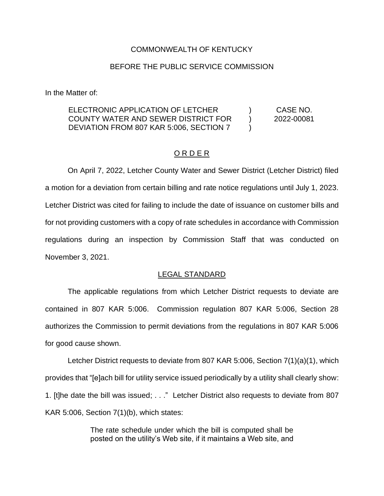## COMMONWEALTH OF KENTUCKY

## BEFORE THE PUBLIC SERVICE COMMISSION

In the Matter of:

#### ELECTRONIC APPLICATION OF LETCHER COUNTY WATER AND SEWER DISTRICT FOR DEVIATION FROM 807 KAR 5:006, SECTION 7 )  $\lambda$  $\lambda$ CASE NO. 2022-00081

## O R D E R

On April 7, 2022, Letcher County Water and Sewer District (Letcher District) filed a motion for a deviation from certain billing and rate notice regulations until July 1, 2023. Letcher District was cited for failing to include the date of issuance on customer bills and for not providing customers with a copy of rate schedules in accordance with Commission regulations during an inspection by Commission Staff that was conducted on November 3, 2021.

## LEGAL STANDARD

The applicable regulations from which Letcher District requests to deviate are contained in 807 KAR 5:006. Commission regulation 807 KAR 5:006, Section 28 authorizes the Commission to permit deviations from the regulations in 807 KAR 5:006 for good cause shown.

Letcher District requests to deviate from 807 KAR 5:006, Section 7(1)(a)(1), which provides that "[e]ach bill for utility service issued periodically by a utility shall clearly show: 1. [t]he date the bill was issued; . . ." Letcher District also requests to deviate from 807 KAR 5:006, Section 7(1)(b), which states:

> The rate schedule under which the bill is computed shall be posted on the utility's Web site, if it maintains a Web site, and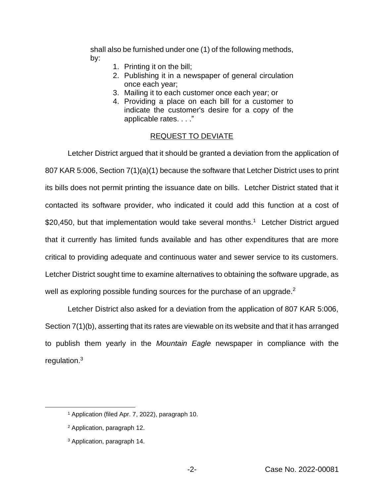shall also be furnished under one (1) of the following methods, by:

- 1. Printing it on the bill;
- 2. Publishing it in a newspaper of general circulation once each year;
- 3. Mailing it to each customer once each year; or
- 4. Providing a place on each bill for a customer to indicate the customer's desire for a copy of the applicable rates. . . ."

# REQUEST TO DEVIATE

Letcher District argued that it should be granted a deviation from the application of 807 KAR 5:006, Section 7(1)(a)(1) because the software that Letcher District uses to print its bills does not permit printing the issuance date on bills. Letcher District stated that it contacted its software provider, who indicated it could add this function at a cost of \$20,450, but that implementation would take several months.<sup>1</sup> Letcher District argued that it currently has limited funds available and has other expenditures that are more critical to providing adequate and continuous water and sewer service to its customers. Letcher District sought time to examine alternatives to obtaining the software upgrade, as well as exploring possible funding sources for the purchase of an upgrade.<sup>2</sup>

Letcher District also asked for a deviation from the application of 807 KAR 5:006, Section 7(1)(b), asserting that its rates are viewable on its website and that it has arranged to publish them yearly in the *Mountain Eagle* newspaper in compliance with the regulation.<sup>3</sup>

<sup>1</sup> Application (filed Apr. 7, 2022), paragraph 10.

<sup>2</sup> Application, paragraph 12.

<sup>3</sup> Application, paragraph 14.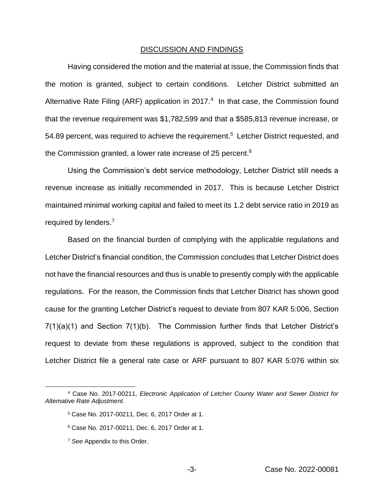### DISCUSSION AND FINDINGS

Having considered the motion and the material at issue, the Commission finds that the motion is granted, subject to certain conditions. Letcher District submitted an Alternative Rate Filing (ARF) application in 2017. $4$  In that case, the Commission found that the revenue requirement was \$1,782,599 and that a \$585,813 revenue increase, or 54.89 percent, was required to achieve the requirement.<sup>5</sup> Letcher District requested, and the Commission granted, a lower rate increase of 25 percent.<sup>6</sup>

Using the Commission's debt service methodology, Letcher District still needs a revenue increase as initially recommended in 2017. This is because Letcher District maintained minimal working capital and failed to meet its 1.2 debt service ratio in 2019 as required by lenders.<sup>7</sup>

Based on the financial burden of complying with the applicable regulations and Letcher District's financial condition, the Commission concludes that Letcher District does not have the financial resources and thus is unable to presently comply with the applicable regulations. For the reason, the Commission finds that Letcher District has shown good cause for the granting Letcher District's request to deviate from 807 KAR 5:006, Section 7(1)(a)(1) and Section 7(1)(b). The Commission further finds that Letcher District's request to deviate from these regulations is approved, subject to the condition that Letcher District file a general rate case or ARF pursuant to 807 KAR 5:076 within six

<sup>4</sup> Case No. 2017-00211, *Electronic Application of Letcher County Water and Sewer District for Alternative Rate Adjustment*.

<sup>5</sup> Case No. 2017-00211, Dec. 6, 2017 Order at 1.

<sup>6</sup> Case No. 2017-00211, Dec. 6, 2017 Order at 1.

<sup>7</sup> *See* Appendix to this Order.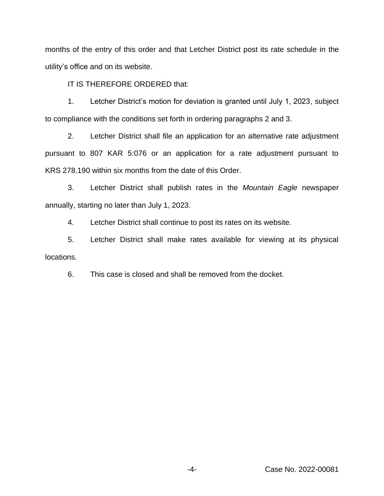months of the entry of this order and that Letcher District post its rate schedule in the utility's office and on its website.

IT IS THEREFORE ORDERED that:

1. Letcher District's motion for deviation is granted until July 1, 2023, subject to compliance with the conditions set forth in ordering paragraphs 2 and 3.

2. Letcher District shall file an application for an alternative rate adjustment pursuant to 807 KAR 5:076 or an application for a rate adjustment pursuant to KRS 278.190 within six months from the date of this Order.

3. Letcher District shall publish rates in the *Mountain Eagle* newspaper annually, starting no later than July 1, 2023.

4. Letcher District shall continue to post its rates on its website.

5. Letcher District shall make rates available for viewing at its physical locations.

6. This case is closed and shall be removed from the docket.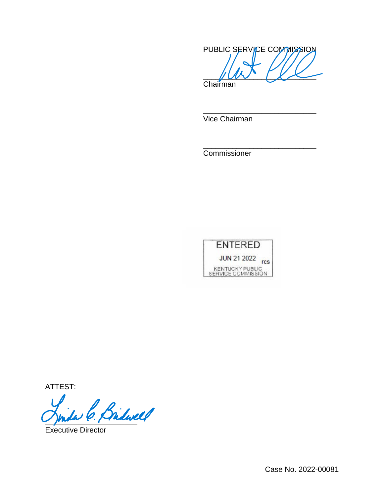

\_\_\_\_\_\_\_\_\_\_\_\_\_\_\_\_\_\_\_\_\_\_\_\_\_\_\_

\_\_\_\_\_\_\_\_\_\_\_\_\_\_\_\_\_\_\_\_\_\_\_\_\_\_\_

Chairman

Vice Chairman

Commissioner



ATTEST:

su C. Bridwell

Executive Director

Case No. 2022-00081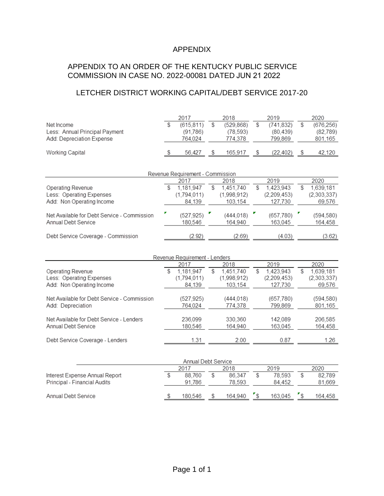## APPENDIX

# APPENDIX TO AN ORDER OF THE KENTUCKY PUBLIC SERVICE COMMISSION IN CASE NO. 2022-00081 DATED JUN 21 2022

# LETCHER DISTRICT WORKING CAPITAL/DEBT SERVICE 2017-20

|                                | 2017                             |    | 2018        |    | 2019        |   | 2020        |  |
|--------------------------------|----------------------------------|----|-------------|----|-------------|---|-------------|--|
| Net Income                     | \$<br>(615, 811)                 | \$ | (529, 868)  | \$ | (741, 832)  | S | (676, 256)  |  |
| Less: Annual Principal Payment | (91,786)                         |    | (78, 593)   |    | (80, 439)   |   | (82,789)    |  |
| Add: Depreciation Expense      | 764,024                          |    | 774,378     |    | 799.869     |   | 801,165     |  |
|                                |                                  |    |             |    |             |   |             |  |
| Working Capital                | 56,427                           | S  | 165,917     | £. | (22,402)    |   | 42,120      |  |
|                                |                                  |    |             |    |             |   |             |  |
|                                |                                  |    |             |    |             |   |             |  |
|                                | Revenue Requirement - Commission |    |             |    |             |   |             |  |
|                                | 2017                             |    | 2018        |    | 2019        |   | 2020        |  |
| Operating Revenue              | \$<br>1.181.947                  | \$ | 1,451,740   | \$ | 1.423.943   | S | 1,639,181   |  |
| Less: Operating Expenses       | (1,794,011)                      |    | (1,998,912) |    | (2,209,453) |   | (2,303,337) |  |
| Add: Non Operating Income      | 84.139                           |    | 103.154     |    | 127.730     |   | 69.576      |  |

 $(527, 925)$ 

180,546

 $(2.92)$ 

 $(444, 018)$ 

164,940

 $(2.69)$ 

ŗ

 $(657, 780)$ 

163,045

 $(4.03)$ 

 $(594, 580)$ 

164,458

 $(3.62)$ 

Net Available for Debt Service - Commission Annual Debt Service

Debt Service Coverage - Commission

| Revenue Requirement - Lenders                                              |      |                                    |      |                                     |      |                                     |   |                                    |  |
|----------------------------------------------------------------------------|------|------------------------------------|------|-------------------------------------|------|-------------------------------------|---|------------------------------------|--|
|                                                                            | 2017 |                                    | 2018 |                                     | 2019 |                                     |   | 2020                               |  |
| Operating Revenue<br>Less: Operating Expenses<br>Add: Non Operating Income | S    | 1,181,947<br>(1.794.011)<br>84.139 | S    | 1,451,740<br>(1.998.912)<br>103.154 | S    | 1.423.943<br>(2,209,453)<br>127.730 | S | 1,639,181<br>(2,303,337)<br>69.576 |  |
| Net Available for Debt Service - Commission<br>Add: Depreciation           |      | (527,925)<br>764.024               |      | (444.018)<br>774.378                |      | (657,780)<br>799.869                |   | (594,580)<br>801,165               |  |
| Net Available for Debt Service - Lenders<br>Annual Debt Service            |      | 236.099<br>180.546                 |      | 330.360<br>164.940                  |      | 142.089<br>163.045                  |   | 206,585<br>164,458                 |  |
| Debt Service Coverage - Lenders                                            |      | 1.31                               |      | 2.00                                |      | 0.87                                |   | 1.26                               |  |

|                                                                | Annual Debt Service |                  |      |                  |      |                  |      |                  |
|----------------------------------------------------------------|---------------------|------------------|------|------------------|------|------------------|------|------------------|
|                                                                | 2017                |                  | 2018 |                  | 2019 |                  | 2020 |                  |
| Interest Expense Annual Report<br>Principal - Financial Audits |                     | 88.760<br>91.786 |      | 86.347<br>78.593 |      | 78.593<br>84 452 |      | 82.789<br>81,669 |
| Annual Debt Service                                            |                     | 180.546          |      | 164.940          |      | 163.045          |      | 164.458          |